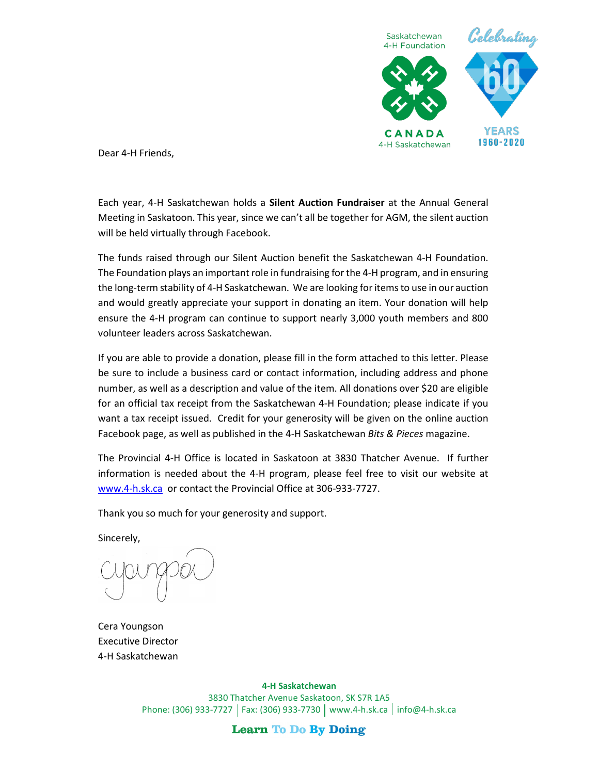

Dear 4-H Friends,

Each year, 4-H Saskatchewan holds a **Silent Auction Fundraiser** at the Annual General Meeting in Saskatoon. This year, since we can't all be together for AGM, the silent auction will be held virtually through Facebook.

The funds raised through our Silent Auction benefit the Saskatchewan 4-H Foundation. The Foundation plays an important role in fundraising for the 4-H program, and in ensuring the long-term stability of 4-H Saskatchewan. We are looking for items to use in our auction and would greatly appreciate your support in donating an item. Your donation will help ensure the 4-H program can continue to support nearly 3,000 youth members and 800 volunteer leaders across Saskatchewan.

If you are able to provide a donation, please fill in the form attached to this letter. Please be sure to include a business card or contact information, including address and phone number, as well as a description and value of the item. All donations over \$20 are eligible for an official tax receipt from the Saskatchewan 4-H Foundation; please indicate if you want a tax receipt issued. Credit for your generosity will be given on the online auction Facebook page, as well as published in the 4-H Saskatchewan *Bits & Pieces* magazine.

The Provincial 4-H Office is located in Saskatoon at 3830 Thatcher Avenue. If further information is needed about the 4-H program, please feel free to visit our website at [www.4-h.sk.ca](http://www.4-h.sk.ca/) or contact the Provincial Office at 306-933-7727.

Thank you so much for your generosity and support.

Sincerely,

Cera Youngson Executive Director 4-H Saskatchewan

**4-H Saskatchewan** 3830 Thatcher Avenue Saskatoon, SK S7R 1A5 Phone: (306) 933-7727 | Fax: (306) 933-7730 | [www.4-h.sk.ca](http://www.4-h.sk.ca/) | [info@4-h.sk.ca](mailto:info@4-h.sk.ca)